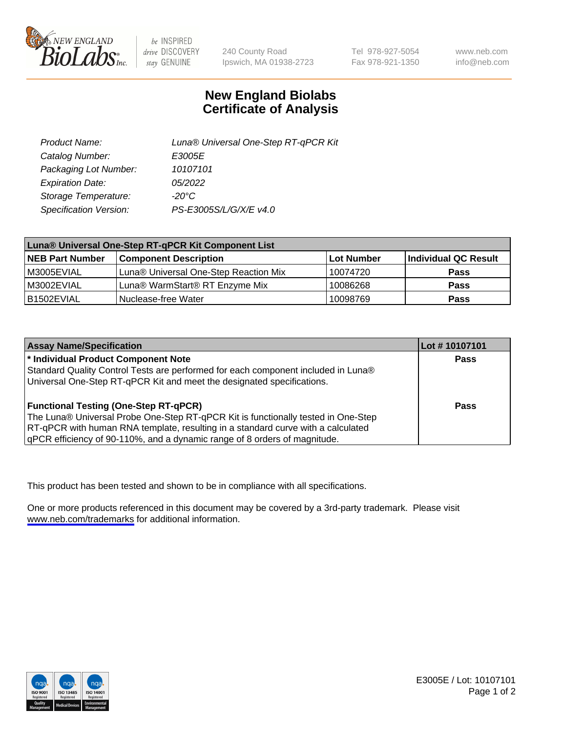

be INSPIRED drive DISCOVERY stay GENUINE

240 County Road Ipswich, MA 01938-2723 Tel 978-927-5054 Fax 978-921-1350

www.neb.com info@neb.com

## **New England Biolabs Certificate of Analysis**

| Product Name:           | Luna® Universal One-Step RT-qPCR Kit |
|-------------------------|--------------------------------------|
| Catalog Number:         | E3005E                               |
| Packaging Lot Number:   | 10107101                             |
| <b>Expiration Date:</b> | 05/2022                              |
| Storage Temperature:    | $-20^{\circ}$ C                      |
| Specification Version:  | PS-E3005S/L/G/X/E v4.0               |

| Luna® Universal One-Step RT-qPCR Kit Component List |                                       |            |                      |
|-----------------------------------------------------|---------------------------------------|------------|----------------------|
| <b>NEB Part Number</b>                              | <b>Component Description</b>          | Lot Number | Individual QC Result |
| M3005EVIAL                                          | Luna® Universal One-Step Reaction Mix | 10074720   | <b>Pass</b>          |
| IM3002EVIAL                                         | Luna® WarmStart® RT Enzyme Mix        | 10086268   | <b>Pass</b>          |
| B1502EVIAL                                          | Nuclease-free Water                   | 10098769   | <b>Pass</b>          |

| <b>Assay Name/Specification</b>                                                   | Lot #10107101 |
|-----------------------------------------------------------------------------------|---------------|
| * Individual Product Component Note                                               | Pass          |
| Standard Quality Control Tests are performed for each component included in Luna® |               |
| Universal One-Step RT-qPCR Kit and meet the designated specifications.            |               |
| <b>Functional Testing (One-Step RT-qPCR)</b>                                      | Pass          |
| The Luna® Universal Probe One-Step RT-qPCR Kit is functionally tested in One-Step |               |
| RT-qPCR with human RNA template, resulting in a standard curve with a calculated  |               |
| qPCR efficiency of 90-110%, and a dynamic range of 8 orders of magnitude.         |               |

This product has been tested and shown to be in compliance with all specifications.

One or more products referenced in this document may be covered by a 3rd-party trademark. Please visit <www.neb.com/trademarks>for additional information.